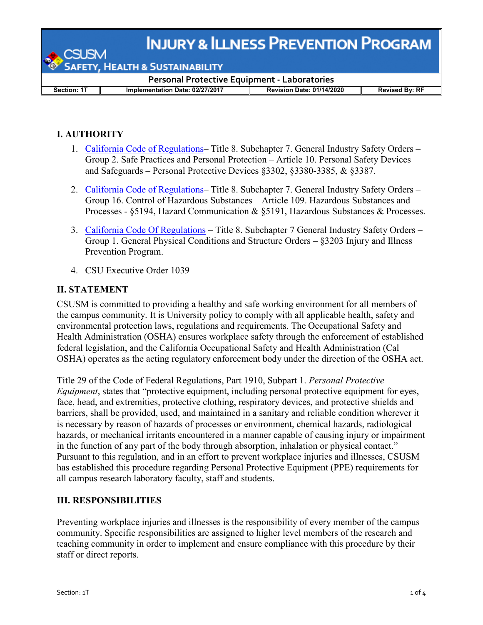**INJURY & ILLNESS PREVENTION PROGRAM** 

**HEALTH & SUSTAINABILITY** 

**Section: 1T Implementation Date: 02/27/2017 Revision Date: 01/14/2020 Revised By: RF**

**Personal Protective Equipment - Laboratories**

## **I. AUTHORITY**

- 1. [California Code of Regulations–](https://www.dir.ca.gov/title8/3380.html) Title 8. Subchapter 7. General Industry Safety Orders Group 2. Safe Practices and Personal Protection – Article 10. Personal Safety Devices and Safeguards – Personal Protective Devices §3302, §3380-3385, & §3387.
- 2. [California Code of Regulations–](https://www.dir.ca.gov/title8/5191.html) Title 8. Subchapter 7. General Industry Safety Orders Group 16. Control of Hazardous Substances – Article 109. Hazardous Substances and Processes - §5194, Hazard Communication & §5191, Hazardous Substances & Processes.
- 3. [California Code Of Regulations](https://www.dir.ca.gov/title8/5194.html) Title 8. Subchapter 7 General Industry Safety Orders -Group 1. General Physical Conditions and Structure Orders – §3203 Injury and Illness Prevention Program.
- 4. CSU Executive Order 1039

## **II. STATEMENT**

CSUSM is committed to providing a healthy and safe working environment for all members of the campus community. It is University policy to comply with all applicable health, safety and environmental protection laws, regulations and requirements. The Occupational Safety and Health Administration (OSHA) ensures workplace safety through the enforcement of established federal legislation, and the California Occupational Safety and Health Administration (Cal OSHA) operates as the acting regulatory enforcement body under the direction of the OSHA act.

Title 29 of the Code of Federal Regulations, Part 1910, Subpart 1. *Personal Protective Equipment*, states that "protective equipment, including personal protective equipment for eyes, face, head, and extremities, protective clothing, respiratory devices, and protective shields and barriers, shall be provided, used, and maintained in a sanitary and reliable condition wherever it is necessary by reason of hazards of processes or environment, chemical hazards, radiological hazards, or mechanical irritants encountered in a manner capable of causing injury or impairment in the function of any part of the body through absorption, inhalation or physical contact." Pursuant to this regulation, and in an effort to prevent workplace injuries and illnesses, CSUSM has established this procedure regarding Personal Protective Equipment (PPE) requirements for all campus research laboratory faculty, staff and students.

### **III. RESPONSIBILITIES**

Preventing workplace injuries and illnesses is the responsibility of every member of the campus community. Specific responsibilities are assigned to higher level members of the research and teaching community in order to implement and ensure compliance with this procedure by their staff or direct reports.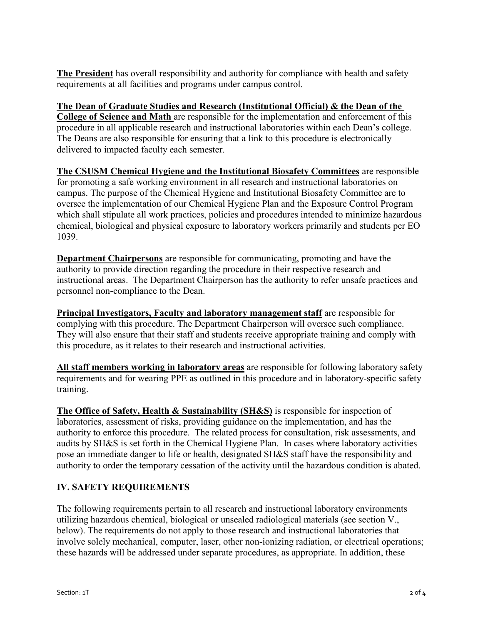**The President** has overall responsibility and authority for compliance with health and safety requirements at all facilities and programs under campus control.

### **The Dean of Graduate Studies and Research (Institutional Official) & the Dean of the**

**College of Science and Math** are responsible for the implementation and enforcement of this procedure in all applicable research and instructional laboratories within each Dean's college. The Deans are also responsible for ensuring that a link to this procedure is electronically delivered to impacted faculty each semester.

**The CSUSM Chemical Hygiene and the Institutional Biosafety Committees** are responsible for promoting a safe working environment in all research and instructional laboratories on campus. The purpose of the Chemical Hygiene and Institutional Biosafety Committee are to oversee the implementation of our Chemical Hygiene Plan and the Exposure Control Program which shall stipulate all work practices, policies and procedures intended to minimize hazardous chemical, biological and physical exposure to laboratory workers primarily and students per EO 1039.

**Department Chairpersons** are responsible for communicating, promoting and have the authority to provide direction regarding the procedure in their respective research and instructional areas. The Department Chairperson has the authority to refer unsafe practices and personnel non-compliance to the Dean.

**Principal Investigators, Faculty and laboratory management staff** are responsible for complying with this procedure. The Department Chairperson will oversee such compliance. They will also ensure that their staff and students receive appropriate training and comply with this procedure, as it relates to their research and instructional activities.

**All staff members working in laboratory areas** are responsible for following laboratory safety requirements and for wearing PPE as outlined in this procedure and in laboratory-specific safety training.

**The Office of Safety, Health & Sustainability (SH&S)** is responsible for inspection of laboratories, assessment of risks, providing guidance on the implementation, and has the authority to enforce this procedure. The related process for consultation, risk assessments, and audits by SH&S is set forth in the Chemical Hygiene Plan. In cases where laboratory activities pose an immediate danger to life or health, designated SH&S staff have the responsibility and authority to order the temporary cessation of the activity until the hazardous condition is abated.

# **IV. SAFETY REQUIREMENTS**

The following requirements pertain to all research and instructional laboratory environments utilizing hazardous chemical, biological or unsealed radiological materials (see section V., below). The requirements do not apply to those research and instructional laboratories that involve solely mechanical, computer, laser, other non-ionizing radiation, or electrical operations; these hazards will be addressed under separate procedures, as appropriate. In addition, these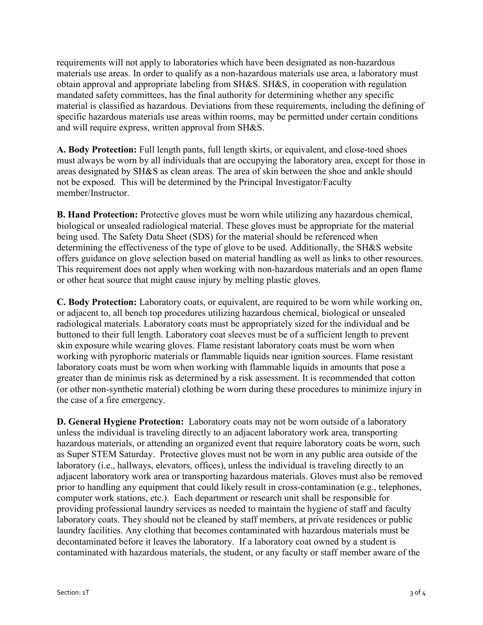requirements will not apply to laboratories which have been designated as non-hazardous materials use areas. In order to qualify as a non-hazardous materials use area, a laboratory must obtain approval and appropriate labeling from SH&S. SH&S, in cooperation with regulation mandated safety committees, has the final authority for determining whether any specific material is classified as hazardous. Deviations from these requirements, including the defining of specific hazardous materials use areas within rooms, may be permitted under certain conditions and will require express, written approval from SH&S.

**A. Body Protection:** Full length pants, full length skirts, or equivalent, and close-toed shoes must always be worn by all individuals that are occupying the laboratory area, except for those in areas designated by SH&S as clean areas. The area of skin between the shoe and ankle should not be exposed. This will be determined by the Principal Investigator/Faculty member/Instructor.

**B. Hand Protection:** Protective gloves must be worn while utilizing any hazardous chemical, biological or unsealed radiological material. These gloves must be appropriate for the material being used. The Safety Data Sheet (SDS) for the material should be referenced when determining the effectiveness of the type of glove to be used. Additionally, the [SH&S website](http://www.ehs.ucla.edu/) offers guidance on glove selection based on material handling as well as links to other resources. This requirement does not apply when working with non-hazardous materials and an open flame or other heat source that might cause injury by melting plastic gloves.

**C. Body Protection:** Laboratory coats, or equivalent, are required to be worn while working on, or adjacent to, all bench top procedures utilizing hazardous chemical, biological or unsealed radiological materials. Laboratory coats must be appropriately sized for the individual and be buttoned to their full length. Laboratory coat sleeves must be of a sufficient length to prevent skin exposure while wearing gloves. Flame resistant laboratory coats must be worn when working with pyrophoric materials or flammable liquids near ignition sources. Flame resistant laboratory coats must be worn when working with flammable liquids in amounts that pose a greater than de minimis risk as determined by a risk assessment. It is recommended that cotton (or other non-synthetic material) clothing be worn during these procedures to minimize injury in the case of a fire emergency.

**D. General Hygiene Protection:** Laboratory coats may not be worn outside of a laboratory unless the individual is traveling directly to an adjacent laboratory work area, transporting hazardous materials, or attending an organized event that require laboratory coats be worn, such as Super STEM Saturday. Protective gloves must not be worn in any public area outside of the laboratory (i.e., hallways, elevators, offices), unless the individual is traveling directly to an adjacent laboratory work area or transporting hazardous materials. Gloves must also be removed prior to handling any equipment that could likely result in cross-contamination (e.g., telephones, computer work stations, etc.). Each department or research unit shall be responsible for providing professional laundry services as needed to maintain the hygiene of staff and faculty laboratory coats. They should not be cleaned by staff members, at private residences or public laundry facilities. Any clothing that becomes contaminated with hazardous materials must be decontaminated before it leaves the laboratory. If a laboratory coat owned by a student is contaminated with hazardous materials, the student, or any faculty or staff member aware of the